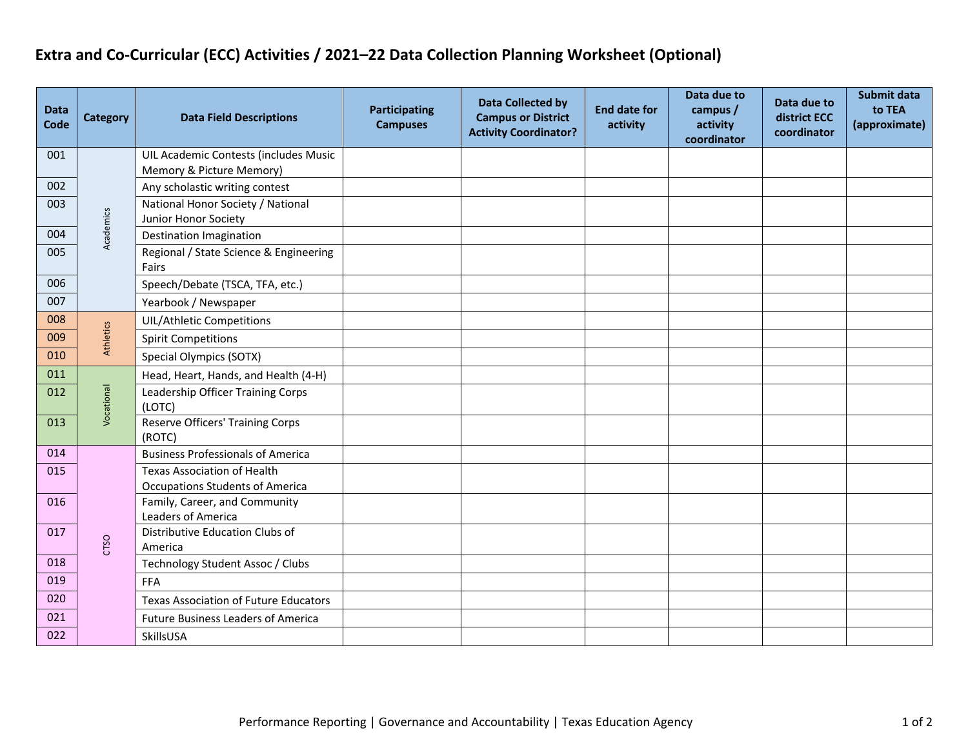## **Extra and Co-Curricular (ECC) Activities / 2021–22 Data Collection Planning Worksheet (Optional)**

| <b>Data</b><br>Code | <b>Category</b> | <b>Data Field Descriptions</b>                                               | <b>Participating</b><br><b>Campuses</b> | <b>Data Collected by</b><br><b>Campus or District</b><br><b>Activity Coordinator?</b> | <b>End date for</b><br>activity | Data due to<br>campus /<br>activity<br>coordinator | Data due to<br>district ECC<br>coordinator | Submit data<br>to TEA<br>(approximate) |
|---------------------|-----------------|------------------------------------------------------------------------------|-----------------------------------------|---------------------------------------------------------------------------------------|---------------------------------|----------------------------------------------------|--------------------------------------------|----------------------------------------|
| 001                 | Academics       | UIL Academic Contests (includes Music<br>Memory & Picture Memory)            |                                         |                                                                                       |                                 |                                                    |                                            |                                        |
| 002                 |                 | Any scholastic writing contest                                               |                                         |                                                                                       |                                 |                                                    |                                            |                                        |
| 003                 |                 | National Honor Society / National<br>Junior Honor Society                    |                                         |                                                                                       |                                 |                                                    |                                            |                                        |
| 004                 |                 | <b>Destination Imagination</b>                                               |                                         |                                                                                       |                                 |                                                    |                                            |                                        |
| 005                 |                 | Regional / State Science & Engineering<br>Fairs                              |                                         |                                                                                       |                                 |                                                    |                                            |                                        |
| 006                 |                 | Speech/Debate (TSCA, TFA, etc.)                                              |                                         |                                                                                       |                                 |                                                    |                                            |                                        |
| 007                 |                 | Yearbook / Newspaper                                                         |                                         |                                                                                       |                                 |                                                    |                                            |                                        |
| 008                 | Athletics       | <b>UIL/Athletic Competitions</b>                                             |                                         |                                                                                       |                                 |                                                    |                                            |                                        |
| 009                 |                 | <b>Spirit Competitions</b>                                                   |                                         |                                                                                       |                                 |                                                    |                                            |                                        |
| 010                 |                 | <b>Special Olympics (SOTX)</b>                                               |                                         |                                                                                       |                                 |                                                    |                                            |                                        |
| 011                 | Vocational      | Head, Heart, Hands, and Health (4-H)                                         |                                         |                                                                                       |                                 |                                                    |                                            |                                        |
| 012                 |                 | Leadership Officer Training Corps<br>(LOTC)                                  |                                         |                                                                                       |                                 |                                                    |                                            |                                        |
| 013                 |                 | <b>Reserve Officers' Training Corps</b><br>(ROTC)                            |                                         |                                                                                       |                                 |                                                    |                                            |                                        |
| 014                 |                 | <b>Business Professionals of America</b>                                     |                                         |                                                                                       |                                 |                                                    |                                            |                                        |
| 015                 | CTSO            | <b>Texas Association of Health</b><br><b>Occupations Students of America</b> |                                         |                                                                                       |                                 |                                                    |                                            |                                        |
| 016                 |                 | Family, Career, and Community<br>Leaders of America                          |                                         |                                                                                       |                                 |                                                    |                                            |                                        |
| 017                 |                 | Distributive Education Clubs of<br>America                                   |                                         |                                                                                       |                                 |                                                    |                                            |                                        |
| 018                 |                 | Technology Student Assoc / Clubs                                             |                                         |                                                                                       |                                 |                                                    |                                            |                                        |
| 019                 |                 | <b>FFA</b>                                                                   |                                         |                                                                                       |                                 |                                                    |                                            |                                        |
| 020                 |                 | <b>Texas Association of Future Educators</b>                                 |                                         |                                                                                       |                                 |                                                    |                                            |                                        |
| 021                 |                 | <b>Future Business Leaders of America</b>                                    |                                         |                                                                                       |                                 |                                                    |                                            |                                        |
| 022                 |                 | SkillsUSA                                                                    |                                         |                                                                                       |                                 |                                                    |                                            |                                        |